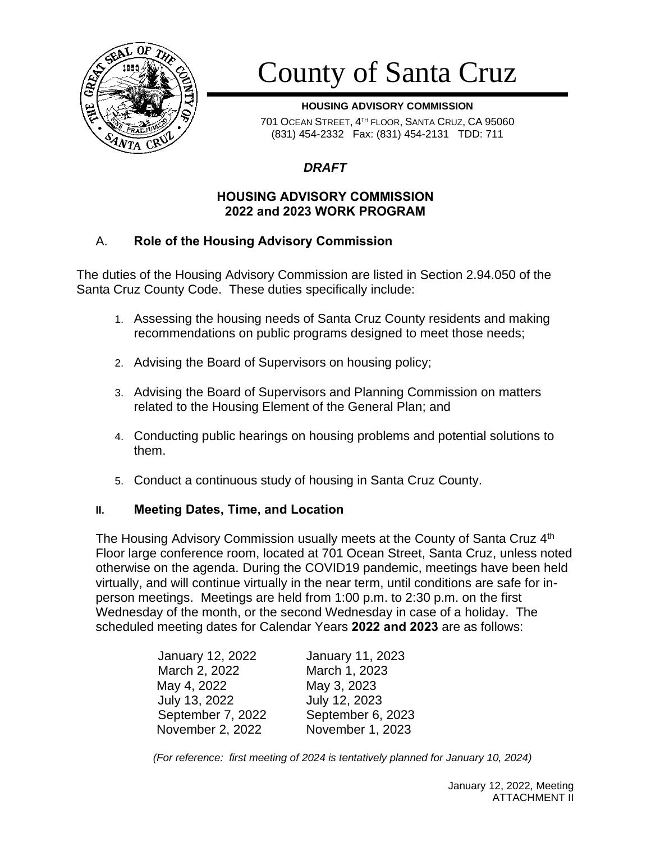

# County of Santa Cruz

**HOUSING ADVISORY COMMISSION**

701 OCEAN STREET, 4 TH FLOOR, SANTA CRUZ, CA 95060 (831) 454-2332 Fax: (831) 454-2131 TDD: 711

## *DRAFT*

#### **HOUSING ADVISORY COMMISSION 2022 and 2023 WORK PROGRAM**

## A. **Role of the Housing Advisory Commission**

The duties of the Housing Advisory Commission are listed in Section 2.94.050 of the Santa Cruz County Code. These duties specifically include:

- 1. Assessing the housing needs of Santa Cruz County residents and making recommendations on public programs designed to meet those needs;
- 2. Advising the Board of Supervisors on housing policy;
- 3. Advising the Board of Supervisors and Planning Commission on matters related to the Housing Element of the General Plan; and
- 4. Conducting public hearings on housing problems and potential solutions to them.
- 5. Conduct a continuous study of housing in Santa Cruz County.

#### **II. Meeting Dates, Time, and Location**

The Housing Advisory Commission usually meets at the County of Santa Cruz 4<sup>th</sup> Floor large conference room, located at 701 Ocean Street, Santa Cruz, unless noted otherwise on the agenda. During the COVID19 pandemic, meetings have been held virtually, and will continue virtually in the near term, until conditions are safe for inperson meetings. Meetings are held from 1:00 p.m. to 2:30 p.m. on the first Wednesday of the month, or the second Wednesday in case of a holiday. The scheduled meeting dates for Calendar Years **2022 and 2023** are as follows:

| January 12, 2022  | January 11, 2023  |
|-------------------|-------------------|
| March 2, 2022     | March 1, 2023     |
| May 4, 2022       | May 3, 2023       |
| July 13, 2022     | July 12, 2023     |
| September 7, 2022 | September 6, 2023 |
| November 2, 2022  | November 1, 2023  |

*(For reference: first meeting of 2024 is tentatively planned for January 10, 2024)*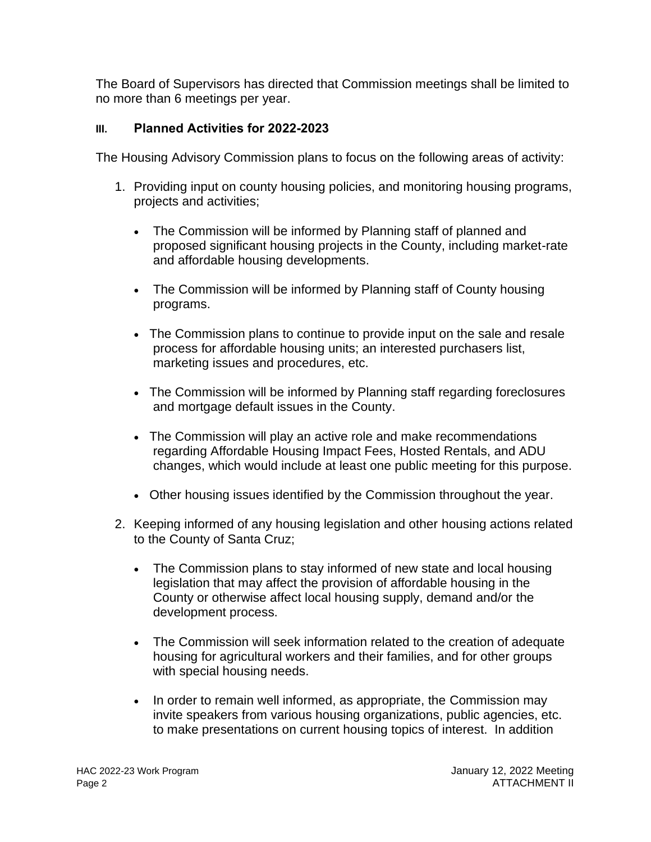The Board of Supervisors has directed that Commission meetings shall be limited to no more than 6 meetings per year.

## **III. Planned Activities for 2022-2023**

The Housing Advisory Commission plans to focus on the following areas of activity:

- 1. Providing input on county housing policies, and monitoring housing programs, projects and activities;
	- The Commission will be informed by Planning staff of planned and proposed significant housing projects in the County, including market-rate and affordable housing developments.
	- The Commission will be informed by Planning staff of County housing programs.
	- The Commission plans to continue to provide input on the sale and resale process for affordable housing units; an interested purchasers list, marketing issues and procedures, etc.
	- The Commission will be informed by Planning staff regarding foreclosures and mortgage default issues in the County.
	- The Commission will play an active role and make recommendations regarding Affordable Housing Impact Fees, Hosted Rentals, and ADU changes, which would include at least one public meeting for this purpose.
	- Other housing issues identified by the Commission throughout the year.
- 2. Keeping informed of any housing legislation and other housing actions related to the County of Santa Cruz;
	- The Commission plans to stay informed of new state and local housing legislation that may affect the provision of affordable housing in the County or otherwise affect local housing supply, demand and/or the development process.
	- The Commission will seek information related to the creation of adequate housing for agricultural workers and their families, and for other groups with special housing needs.
	- In order to remain well informed, as appropriate, the Commission may invite speakers from various housing organizations, public agencies, etc. to make presentations on current housing topics of interest. In addition